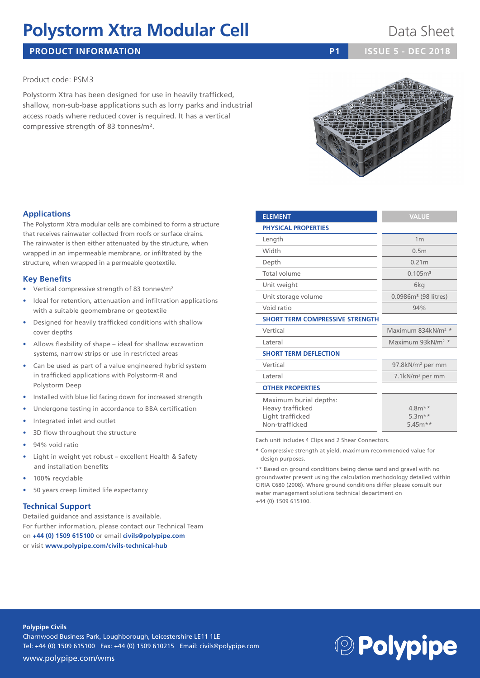# **Polystorm Xtra Modular Cell Data Sheet**

## **PRODUCT INFORMATION P1 ISSUE 5 - DEC 2018**

### Product code: PSM3

Polystorm Xtra has been designed for use in heavily trafficked, shallow, non-sub-base applications such as lorry parks and industrial access roads where reduced cover is required. It has a vertical compressive strength of 83 tonnes/m².

### **Applications**

The Polystorm Xtra modular cells are combined to form a structure that receives rainwater collected from roofs or surface drains. The rainwater is then either attenuated by the structure, when wrapped in an impermeable membrane, or infiltrated by the structure, when wrapped in a permeable geotextile.

### **Key Benefits**

- Vertical compressive strength of 83 tonnes/m²
- Ideal for retention, attenuation and infiltration applications with a suitable geomembrane or geotextile
- Designed for heavily trafficked conditions with shallow cover depths
- Allows flexbility of shape ideal for shallow excavation systems, narrow strips or use in restricted areas
- Can be used as part of a value engineered hybrid system in trafficked applications with Polystorm-R and Polystorm Deep
- Installed with blue lid facing down for increased strength
- Undergone testing in accordance to BBA certification
- Integrated inlet and outlet
- 3D flow throughout the structure
- 94% void ratio
- Light in weight yet robust excellent Health & Safety and installation benefits
- 100% recyclable
- 50 years creep limited life expectancy

#### **Technical Support**

Detailed guidance and assistance is available. For further information, please contact our Technical Team on **+44 (0) 1509 615100** or email **civils@polypipe.com** or visit **www.polypipe.com/civils-technical-hub**

| Width                                                                            | 0.5 <sub>m</sub>                  |  |  |  |  |  |  |  |  |
|----------------------------------------------------------------------------------|-----------------------------------|--|--|--|--|--|--|--|--|
| Depth                                                                            | 0.21m                             |  |  |  |  |  |  |  |  |
| Total volume                                                                     | 0.105 <sup>3</sup>                |  |  |  |  |  |  |  |  |
| Unit weight                                                                      | 6kg                               |  |  |  |  |  |  |  |  |
| Unit storage volume                                                              | 0.0986m <sup>3</sup> (98 litres)  |  |  |  |  |  |  |  |  |
| Void ratio                                                                       | 94%                               |  |  |  |  |  |  |  |  |
| <b>SHORT TERM COMPRESSIVE STRENGTH</b>                                           |                                   |  |  |  |  |  |  |  |  |
| Vertical                                                                         | Maximum 834kN/m <sup>2</sup>      |  |  |  |  |  |  |  |  |
| Lateral                                                                          | Maximum 93kN/m <sup>2</sup>       |  |  |  |  |  |  |  |  |
| <b>SHORT TERM DEFLECTION</b>                                                     |                                   |  |  |  |  |  |  |  |  |
| Vertical                                                                         | 97.8kN/m <sup>2</sup> per mm      |  |  |  |  |  |  |  |  |
| Lateral                                                                          | 7.1 $kN/m^2$ per mm               |  |  |  |  |  |  |  |  |
| <b>OTHER PROPERTIES</b>                                                          |                                   |  |  |  |  |  |  |  |  |
| Maximum burial depths:<br>Heavy trafficked<br>Light trafficked<br>Non-trafficked | $4.8m**$<br>$5.3m**$<br>$5.45m**$ |  |  |  |  |  |  |  |  |

**ELEMENT** VALUE

**PHYSICAL PROPERTIES**

Each unit includes 4 Clips and 2 Shear Connectors.

\* Compressive strength at yield, maximum recommended value for design purposes.

\*\* Based on ground conditions being dense sand and gravel with no groundwater present using the calculation methodology detailed within CIRIA C680 (2008). Where ground conditions differ please consult our water management solutions technical department on +44 (0) 1509 615100.

Length 1m Vertical Maximum 834kN/m<sup>2</sup> \* Lateral Maximum 93kN/m<sup>2</sup> \*



#### **Polypipe Civils**

Charnwood Business Park, Loughborough, Leicestershire LE11 1LE Tel: +44 (0) 1509 615100 Fax: +44 (0) 1509 610215 Email: civils@polypipe.com

# **<sup>2</sup>Polypipe**